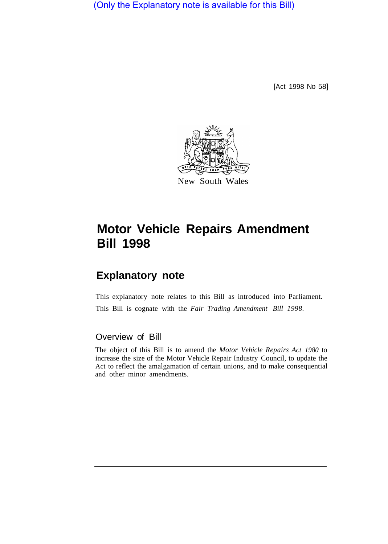(Only the Explanatory note is available for this Bill)

[Act 1998 No 58]



# **Motor Vehicle Repairs Amendment Bill 1998**

# **Explanatory note**

This explanatory note relates to this Bill as introduced into Parliament. This Bill is cognate with the *Fair Trading Amendment Bill 1998.* 

## Overview of Bill

The object of this Bill is to amend the *Motor Vehicle Repairs Act 1980* to increase the size of the Motor Vehicle Repair Industry Council, to update the Act to reflect the amalgamation of certain unions, and to make consequential and other minor amendments.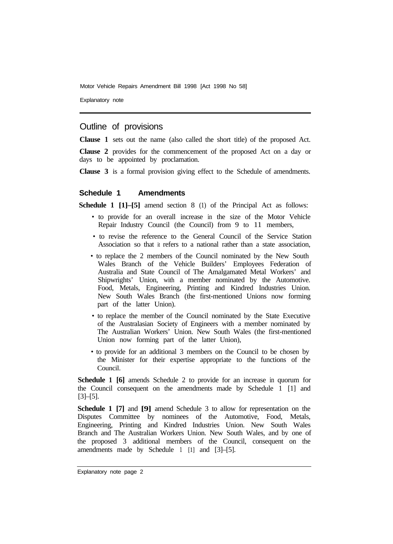Motor Vehicle Repairs Amendment Bill 1998 [Act 1998 No 58]

Explanatory note

### Outline of provisions

**Clause 1** sets out the name (also called the short title) of the proposed Act.

**Clause 2** provides for the commencement of the proposed Act on a day or days to be appointed by proclamation.

**Clause 3** is a formal provision giving effect to the Schedule of amendments.

#### **Schedule 1 Amendments**

**Schedule 1 [1]–[5]** amend section 8 (1) of the Principal Act as follows:

- to provide for an overall increase in the size of the Motor Vehicle Repair Industry Council (the Council) from 9 to 11 members,
- to revise the reference to the General Council of the Service Station Association so that it refers to a national rather than a state association,
- to replace the 2 members of the Council nominated by the New South Wales Branch of the Vehicle Builders' Employees Federation of Australia and State Council of The Amalgamated Metal Workers' and Shipwrights' Union, with a member nominated by the Automotive. Food, Metals, Engineering, Printing and Kindred Industries Union. New South Wales Branch (the first-mentioned Unions now forming part of the latter Union).
- to replace the member of the Council nominated by the State Executive of the Australasian Society of Engineers with a member nominated by The Australian Workers' Union. New South Wales (the first-mentioned Union now forming part of the latter Union),
- to provide for an additional 3 members on the Council to be chosen by the Minister for their expertise appropriate to the functions of the Council.

**Schedule 1 [6]** amends Schedule 2 to provide for an increase in quorum for the Council consequent on the amendments made by Schedule 1 [1] and [3]–[5].

**Schedule 1 [7]** and **[9]** amend Schedule 3 to allow for representation on the Disputes Committee by nominees of the Automotive, Food, Metals, Engineering, Printing and Kindred Industries Union. New South Wales Branch and The Australian Workers Union. New South Wales, and by one of the proposed 3 additional members of the Council, consequent on the amendments made by Schedule 1 [1] and [3]–[5].

Explanatory note page 2